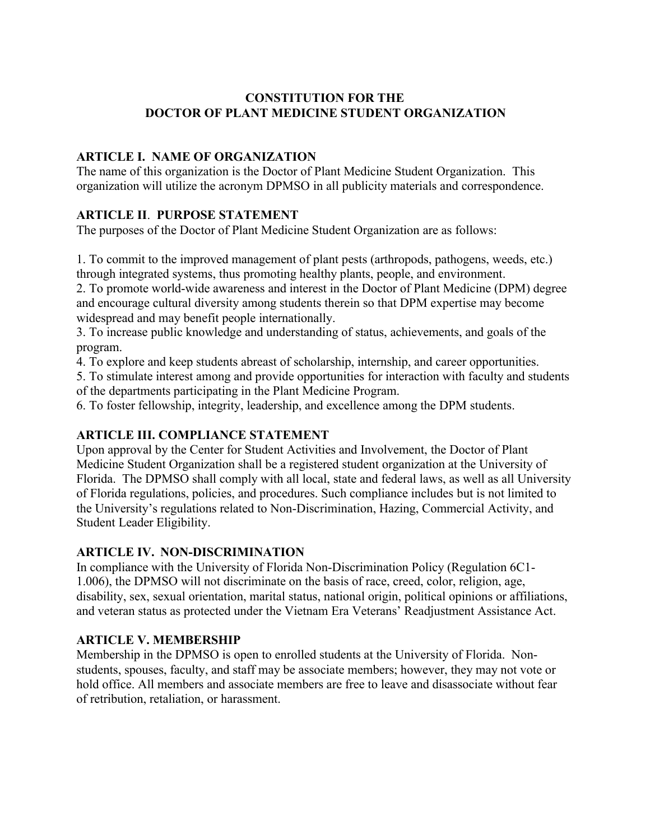## **CONSTITUTION FOR THE DOCTOR OF PLANT MEDICINE STUDENT ORGANIZATION**

# **ARTICLE I. NAME OF ORGANIZATION**

The name of this organization is the Doctor of Plant Medicine Student Organization. This organization will utilize the acronym DPMSO in all publicity materials and correspondence.

## **ARTICLE II**. **PURPOSE STATEMENT**

The purposes of the Doctor of Plant Medicine Student Organization are as follows:

1. To commit to the improved management of plant pests (arthropods, pathogens, weeds, etc.) through integrated systems, thus promoting healthy plants, people, and environment.

2. To promote world-wide awareness and interest in the Doctor of Plant Medicine (DPM) degree and encourage cultural diversity among students therein so that DPM expertise may become widespread and may benefit people internationally.

3. To increase public knowledge and understanding of status, achievements, and goals of the program.

4. To explore and keep students abreast of scholarship, internship, and career opportunities.

5. To stimulate interest among and provide opportunities for interaction with faculty and students of the departments participating in the Plant Medicine Program.

6. To foster fellowship, integrity, leadership, and excellence among the DPM students.

## **ARTICLE III. COMPLIANCE STATEMENT**

Upon approval by the Center for Student Activities and Involvement, the Doctor of Plant Medicine Student Organization shall be a registered student organization at the University of Florida. The DPMSO shall comply with all local, state and federal laws, as well as all University of Florida regulations, policies, and procedures. Such compliance includes but is not limited to the University's regulations related to Non-Discrimination, Hazing, Commercial Activity, and Student Leader Eligibility.

## **ARTICLE IV. NON-DISCRIMINATION**

In compliance with the University of Florida Non-Discrimination Policy (Regulation 6C1- 1.006), the DPMSO will not discriminate on the basis of race, creed, color, religion, age, disability, sex, sexual orientation, marital status, national origin, political opinions or affiliations, and veteran status as protected under the Vietnam Era Veterans' Readjustment Assistance Act.

## **ARTICLE V. MEMBERSHIP**

Membership in the DPMSO is open to enrolled students at the University of Florida. Nonstudents, spouses, faculty, and staff may be associate members; however, they may not vote or hold office. All members and associate members are free to leave and disassociate without fear of retribution, retaliation, or harassment.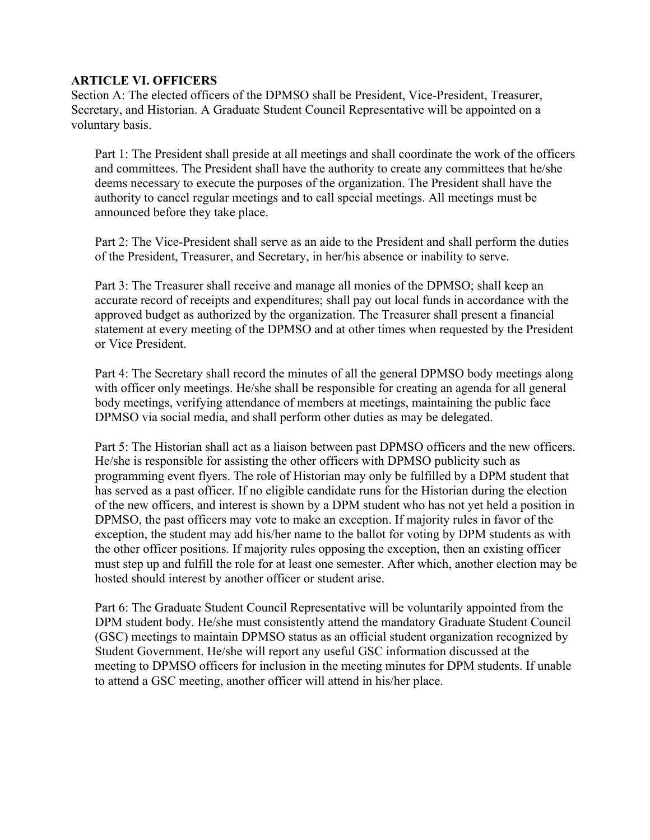#### **ARTICLE VI. OFFICERS**

Section A: The elected officers of the DPMSO shall be President, Vice-President, Treasurer, Secretary, and Historian. A Graduate Student Council Representative will be appointed on a voluntary basis.

Part 1: The President shall preside at all meetings and shall coordinate the work of the officers and committees. The President shall have the authority to create any committees that he/she deems necessary to execute the purposes of the organization. The President shall have the authority to cancel regular meetings and to call special meetings. All meetings must be announced before they take place.

Part 2: The Vice-President shall serve as an aide to the President and shall perform the duties of the President, Treasurer, and Secretary, in her/his absence or inability to serve.

Part 3: The Treasurer shall receive and manage all monies of the DPMSO; shall keep an accurate record of receipts and expenditures; shall pay out local funds in accordance with the approved budget as authorized by the organization. The Treasurer shall present a financial statement at every meeting of the DPMSO and at other times when requested by the President or Vice President.

Part 4: The Secretary shall record the minutes of all the general DPMSO body meetings along with officer only meetings. He/she shall be responsible for creating an agenda for all general body meetings, verifying attendance of members at meetings, maintaining the public face DPMSO via social media, and shall perform other duties as may be delegated.

Part 5: The Historian shall act as a liaison between past DPMSO officers and the new officers. He/she is responsible for assisting the other officers with DPMSO publicity such as programming event flyers. The role of Historian may only be fulfilled by a DPM student that has served as a past officer. If no eligible candidate runs for the Historian during the election of the new officers, and interest is shown by a DPM student who has not yet held a position in DPMSO, the past officers may vote to make an exception. If majority rules in favor of the exception, the student may add his/her name to the ballot for voting by DPM students as with the other officer positions. If majority rules opposing the exception, then an existing officer must step up and fulfill the role for at least one semester. After which, another election may be hosted should interest by another officer or student arise.

Part 6: The Graduate Student Council Representative will be voluntarily appointed from the DPM student body. He/she must consistently attend the mandatory Graduate Student Council (GSC) meetings to maintain DPMSO status as an official student organization recognized by Student Government. He/she will report any useful GSC information discussed at the meeting to DPMSO officers for inclusion in the meeting minutes for DPM students. If unable to attend a GSC meeting, another officer will attend in his/her place.